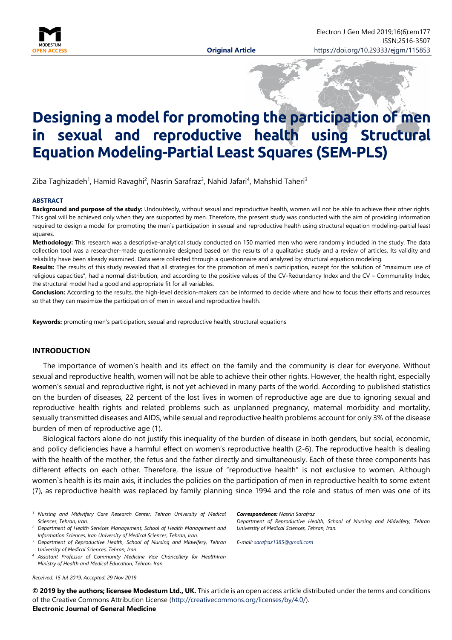

# **Designing a model for promoting the participation of men in sexual and reproductive health using Structural Equation Modeling-Partial Least Squares (SEM-PLS)**

Ziba Taghizadeh<sup>1</sup>, Hamid Ravaghi<sup>2</sup>, Nasrin Sarafraz<sup>3</sup>, Nahid Jafari<sup>4</sup>, Mahshid Taheri<sup>3</sup>

#### **ABSTRACT**

**Background and purpose of the study:** Undoubtedly, without sexual and reproductive health, women will not be able to achieve their other rights. This goal will be achieved only when they are supported by men. Therefore, the present study was conducted with the aim of providing information required to design a model for promoting the men`s participation in sexual and reproductive health using structural equation modeling-partial least squares.

**Methodology:** This research was a descriptive-analytical study conducted on 150 married men who were randomly included in the study. The data collection tool was a researcher-made questionnaire designed based on the results of a qualitative study and a review of articles. Its validity and reliability have been already examined. Data were collected through a questionnaire and analyzed by structural equation modeling.

Results: The results of this study revealed that all strategies for the promotion of men's participation, except for the solution of "maximum use of religious capacities", had a normal distribution, and according to the positive values of the CV-Redundancy Index and the CV – Communality Index, the structural model had a good and appropriate fit for all variables.

**Conclusion:** According to the results, the high-level decision-makers can be informed to decide where and how to focus their efforts and resources so that they can maximize the participation of men in sexual and reproductive health.

**Keywords:** promoting men's participation, sexual and reproductive health, structural equations

#### **INTRODUCTION**

The importance of women's health and its effect on the family and the community is clear for everyone. Without sexual and reproductive health, women will not be able to achieve their other rights. However, the health right, especially women's sexual and reproductive right, is not yet achieved in many parts of the world. According to published statistics on the burden of diseases, 22 percent of the lost lives in women of reproductive age are due to ignoring sexual and reproductive health rights and related problems such as unplanned pregnancy, maternal morbidity and mortality, sexually transmitted diseases and AIDS, while sexual and reproductive health problems account for only 3% of the disease burden of men of reproductive age (1).

Biological factors alone do not justify this inequality of the burden of disease in both genders, but social, economic, and policy deficiencies have a harmful effect on women's reproductive health (2-6). The reproductive health is dealing with the health of the mother, the fetus and the father directly and simultaneously. Each of these three components has different effects on each other. Therefore, the issue of "reproductive health" is not exclusive to women. Although women`s health is its main axis, it includes the policies on the participation of men in reproductive health to some extent (7), as reproductive health was replaced by family planning since 1994 and the role and status of men was one of its

*Received: 15 Jul 2019, Accepted: 29 Nov 2019*

*Correspondence: Nasrin Sarafraz Department of Reproductive Health, School of Nursing and Midwifery, Tehran University of Medical Sciences, Tehran, Iran.*

*E-mail: [sarafraz1385@gmail.com](mailto:sarafraz1385@gmail.com)*

**© 2019 by the authors; licensee Modestum Ltd., UK.** This article is an open access article distributed under the terms and conditions of the Creative Commons Attribution License [\(http://creativecommons.org/licenses/by/4.0/\)](http://creativecommons.org/licenses/by/4.0/).

#### **Electronic Journal of General Medicine**

*<sup>1</sup> Nursing and Midwifery Care Research Center, Tehran University of Medical Sciences, Tehran, Iran.*

*<sup>2</sup> Department of Health Services Management, School of Health Management and Information Sciences, Iran University of Medical Sciences, Tehran, Iran.*

*<sup>3</sup> Department of Reproductive Health, School of Nursing and Midwifery, Tehran University of Medical Sciences, Tehran, Iran.*

*<sup>4</sup> Assistant Professor of Community Medicine Vice Chancellery for HealthIran Ministry of Health and Medical Education, Tehran, Iran.*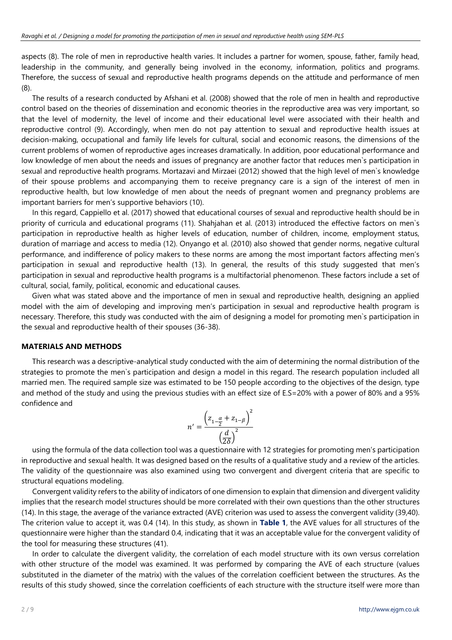aspects (8). The role of men in reproductive health varies. It includes a partner for women, spouse, father, family head, leadership in the community, and generally being involved in the economy, information, politics and programs. Therefore, the success of sexual and reproductive health programs depends on the attitude and performance of men (8).

The results of a research conducted by Afshani et al. (2008) showed that the role of men in health and reproductive control based on the theories of dissemination and economic theories in the reproductive area was very important, so that the level of modernity, the level of income and their educational level were associated with their health and reproductive control (9). Accordingly, when men do not pay attention to sexual and reproductive health issues at decision-making, occupational and family life levels for cultural, social and economic reasons, the dimensions of the current problems of women of reproductive ages increases dramatically. In addition, poor educational performance and low knowledge of men about the needs and issues of pregnancy are another factor that reduces men`s participation in sexual and reproductive health programs. Mortazavi and Mirzaei (2012) showed that the high level of men`s knowledge of their spouse problems and accompanying them to receive pregnancy care is a sign of the interest of men in reproductive health, but low knowledge of men about the needs of pregnant women and pregnancy problems are important barriers for men's supportive behaviors (10).

In this regard, Cappiello et al. (2017) showed that educational courses of sexual and reproductive health should be in priority of curricula and educational programs (11). Shahjahan et al. (2013) introduced the effective factors on men`s participation in reproductive health as higher levels of education, number of children, income, employment status, duration of marriage and access to media (12). Onyango et al. (2010) also showed that gender norms, negative cultural performance, and indifference of policy makers to these norms are among the most important factors affecting men's participation in sexual and reproductive health (13). In general, the results of this study suggested that men's participation in sexual and reproductive health programs is a multifactorial phenomenon. These factors include a set of cultural, social, family, political, economic and educational causes.

Given what was stated above and the importance of men in sexual and reproductive health, designing an applied model with the aim of developing and improving men's participation in sexual and reproductive health program is necessary. Therefore, this study was conducted with the aim of designing a model for promoting men`s participation in the sexual and reproductive health of their spouses (36-38).

#### **MATERIALS AND METHODS**

This research was a descriptive-analytical study conducted with the aim of determining the normal distribution of the strategies to promote the men`s participation and design a model in this regard. The research population included all married men. The required sample size was estimated to be 150 people according to the objectives of the design, type and method of the study and using the previous studies with an effect size of E.S=20% with a power of 80% and a 95% confidence and

$$
n' = \frac{\left(z_{1-\frac{\alpha}{2}} + z_{1-\beta}\right)^2}{\left(\frac{d}{2\delta}\right)^2}
$$

using the formula of the data collection tool was a questionnaire with 12 strategies for promoting men's participation in reproductive and sexual health. It was designed based on the results of a qualitative study and a review of the articles. The validity of the questionnaire was also examined using two convergent and divergent criteria that are specific to structural equations modeling.

Convergent validity refers to the ability of indicators of one dimension to explain that dimension and divergent validity implies that the research model structures should be more correlated with their own questions than the other structures (14). In this stage, the average of the variance extracted (AVE) criterion was used to assess the convergent validity (39,40). The criterion value to accept it, was 0.4 (14). In this study, as shown in **Table 1**, the AVE values for all structures of the questionnaire were higher than the standard 0.4, indicating that it was an acceptable value for the convergent validity of the tool for measuring these structures (41).

In order to calculate the divergent validity, the correlation of each model structure with its own versus correlation with other structure of the model was examined. It was performed by comparing the AVE of each structure (values substituted in the diameter of the matrix) with the values of the correlation coefficient between the structures. As the results of this study showed, since the correlation coefficients of each structure with the structure itself were more than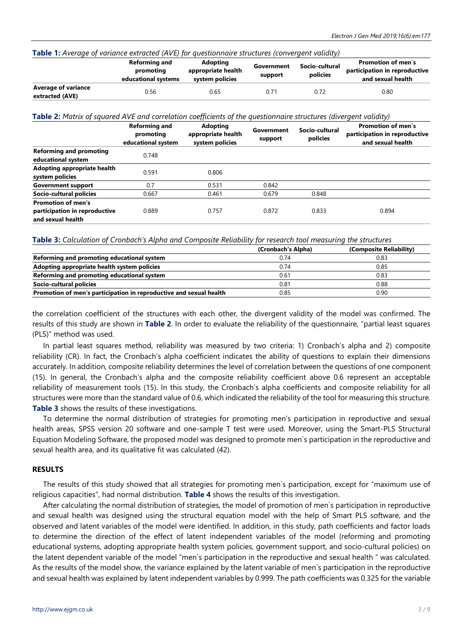| <b>Table 1:</b> Average of variance extracted (AVE) for questionnaire structures (convergent validity) |                                                          |                                                          |                       |                            |                                                                                 |  |  |
|--------------------------------------------------------------------------------------------------------|----------------------------------------------------------|----------------------------------------------------------|-----------------------|----------------------------|---------------------------------------------------------------------------------|--|--|
|                                                                                                        | <b>Reforming and</b><br>promoting<br>educational systems | <b>Adopting</b><br>appropriate health<br>system policies | Government<br>support | Socio-cultural<br>policies | <b>Promotion of men's</b><br>participation in reproductive<br>and sexual health |  |  |
| <b>Average of variance</b><br>extracted (AVE)                                                          | 0.56                                                     | 0.65                                                     | 0.71                  | 0.72                       | 0.80                                                                            |  |  |

#### **Table 1:** *Average of variance extracted (AVE) for questionnaire structures (convergent validity)*

**Table 2:** *Matrix of squared AVE and correlation coefficients of the questionnaire structures (divergent validity)*

|                                                                                 | <b>Reforming and</b><br>promoting<br>educational system | <b>Adopting</b><br>appropriate health<br>system policies | Government<br>support | Socio-cultural<br>policies | <b>Promotion of men's</b><br>participation in reproductive<br>and sexual health |
|---------------------------------------------------------------------------------|---------------------------------------------------------|----------------------------------------------------------|-----------------------|----------------------------|---------------------------------------------------------------------------------|
| <b>Reforming and promoting</b><br>educational system                            | 0.748                                                   |                                                          |                       |                            |                                                                                 |
| Adopting appropriate health<br>system policies                                  | 0.591                                                   | 0.806                                                    |                       |                            |                                                                                 |
| <b>Government support</b>                                                       | 0.7                                                     | 0.531                                                    | 0.842                 |                            |                                                                                 |
| Socio-cultural policies                                                         | 0.667                                                   | 0.461                                                    | 0.679                 | 0.848                      |                                                                                 |
| <b>Promotion of men's</b><br>participation in reproductive<br>and sexual health | 0.889                                                   | 0.757                                                    | 0.872                 | 0.833                      | 0.894                                                                           |

**Table 3:** *Calculation of Cronbach's Alpha and Composite Reliability for research tool measuring the structures*

|                                                                    | (Cronbach's Alpha) | (Composite Reliability) |
|--------------------------------------------------------------------|--------------------|-------------------------|
| Reforming and promoting educational system                         | 0.74               | 0.83                    |
| Adopting appropriate health system policies                        | 0.74               | 0.85                    |
| Reforming and promoting educational system                         | 0.61               | 0.83                    |
| Socio-cultural policies                                            | 0.81               | 0.88                    |
| Promotion of men's participation in reproductive and sexual health | 0.85               | 0.90                    |

the correlation coefficient of the structures with each other, the divergent validity of the model was confirmed. The results of this study are shown in **Table 2**. In order to evaluate the reliability of the questionnaire, "partial least squares (PLS)" method was used.

In partial least squares method, reliability was measured by two criteria: 1) Cronbach's alpha and 2) composite reliability (CR). In fact, the Cronbach's alpha coefficient indicates the ability of questions to explain their dimensions accurately. In addition, composite reliability determines the level of correlation between the questions of one component (15). In general, the Cronbach's alpha and the composite reliability coefficient above 0.6 represent an acceptable reliability of measurement tools (15). In this study, the Cronbach's alpha coefficients and composite reliability for all structures were more than the standard value of 0.6, which indicated the reliability of the tool for measuring this structure. **Table 3** shows the results of these investigations.

To determine the normal distribution of strategies for promoting men's participation in reproductive and sexual health areas, SPSS version 20 software and one-sample T test were used. Moreover, using the Smart-PLS Structural Equation Modeling Software, the proposed model was designed to promote men`s participation in the reproductive and sexual health area, and its qualitative fit was calculated (42).

#### **RESULTS**

The results of this study showed that all strategies for promoting men`s participation, except for "maximum use of religious capacities", had normal distribution. **Table 4** shows the results of this investigation.

After calculating the normal distribution of strategies, the model of promotion of men`s participation in reproductive and sexual health was designed using the structural equation model with the help of Smart PLS software, and the observed and latent variables of the model were identified. In addition, in this study, path coefficients and factor loads to determine the direction of the effect of latent independent variables of the model (reforming and promoting educational systems, adopting appropriate health system policies, government support, and socio-cultural policies) on the latent dependent variable of the model "men`s participation in the reproductive and sexual health " was calculated. As the results of the model show, the variance explained by the latent variable of men`s participation in the reproductive and sexual health was explained by latent independent variables by 0.999. The path coefficients was 0.325 for the variable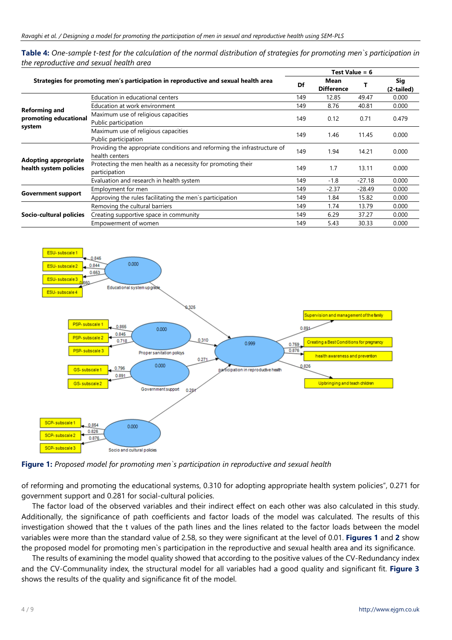Table 4: One-sample t-test for the calculation of the normal distribution of strategies for promoting men's participation in *the reproductive and sexual health area*

|                                                         |                                                                                            | Test Value = 6 |                           |          |                   |
|---------------------------------------------------------|--------------------------------------------------------------------------------------------|----------------|---------------------------|----------|-------------------|
|                                                         | Strategies for promoting men's participation in reproductive and sexual health area        | Df             | Mean<br><b>Difference</b> |          | Sig<br>(2-tailed) |
| <b>Reforming and</b><br>promoting educational<br>system | Education in educational centers                                                           | 149            | 12.85                     | 49.47    | 0.000             |
|                                                         | Education at work environment                                                              | 149            | 8.76                      | 40.81    | 0.000             |
|                                                         | Maximum use of religious capacities<br>Public participation                                | 149            | 0.12                      | 0.71     | 0.479             |
|                                                         | Maximum use of religious capacities<br>Public participation                                | 149            | 1.46                      | 11.45    | 0.000             |
| <b>Adopting appropriate</b><br>health system policies   | Providing the appropriate conditions and reforming the infrastructure of<br>health centers | 149            | 1.94                      | 14.21    | 0.000             |
|                                                         | Protecting the men health as a necessity for promoting their<br>participation              | 149            | 1.7                       | 13.11    | 0.000             |
|                                                         | Evaluation and research in health system                                                   | 149            | $-1.8$                    | $-27.18$ | 0.000             |
| <b>Government support</b>                               | Employment for men                                                                         | 149            | $-2.37$                   | $-28.49$ | 0.000             |
|                                                         | Approving the rules facilitating the men's participation                                   | 149            | 1.84                      | 15.82    | 0.000             |
| Socio-cultural policies                                 | Removing the cultural barriers                                                             | 149            | 1.74                      | 13.79    | 0.000             |
|                                                         | Creating supportive space in community                                                     | 149            | 6.29                      | 37.27    | 0.000             |
|                                                         | Empowerment of women                                                                       | 149            | 5.43                      | 30.33    | 0.000             |



**Figure 1:** *Proposed model for promoting men`s participation in reproductive and sexual health*

of reforming and promoting the educational systems, 0.310 for adopting appropriate health system policies", 0.271 for government support and 0.281 for social-cultural policies.

The factor load of the observed variables and their indirect effect on each other was also calculated in this study. Additionally, the significance of path coefficients and factor loads of the model was calculated. The results of this investigation showed that the t values of the path lines and the lines related to the factor loads between the model variables were more than the standard value of 2.58, so they were significant at the level of 0.01. **Figures 1** and **2** show the proposed model for promoting men`s participation in the reproductive and sexual health area and its significance.

The results of examining the model quality showed that according to the positive values of the CV-Redundancy index and the CV-Communality index, the structural model for all variables had a good quality and significant fit. **Figure 3** shows the results of the quality and significance fit of the model.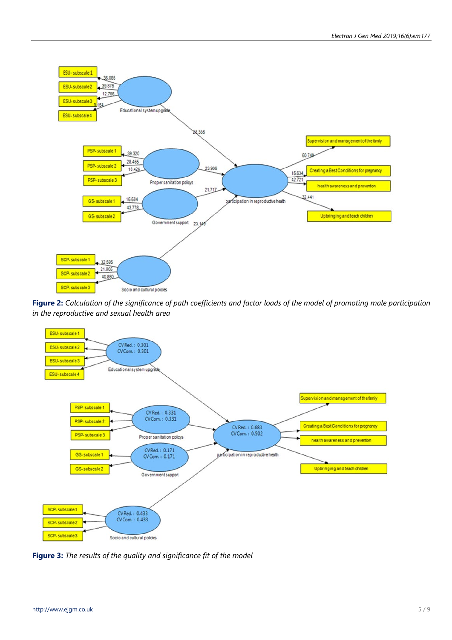

Figure 2: Calculation of the significance of path coefficients and factor loads of the model of promoting male participation *in the reproductive and sexual health area*



**Figure 3:** *The results of the quality and significance fit of the model*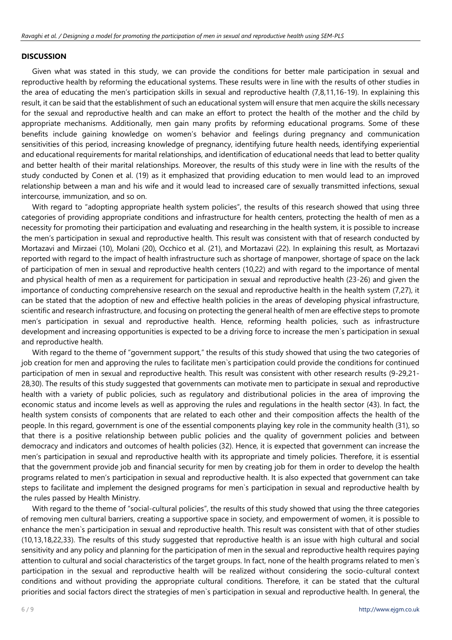### **DISCUSSION**

Given what was stated in this study, we can provide the conditions for better male participation in sexual and reproductive health by reforming the educational systems. These results were in line with the results of other studies in the area of educating the men's participation skills in sexual and reproductive health (7,8,11,16-19). In explaining this result, it can be said that the establishment of such an educational system will ensure that men acquire the skills necessary for the sexual and reproductive health and can make an effort to protect the health of the mother and the child by appropriate mechanisms. Additionally, men gain many profits by reforming educational programs. Some of these benefits include gaining knowledge on women's behavior and feelings during pregnancy and communication sensitivities of this period, increasing knowledge of pregnancy, identifying future health needs, identifying experiential and educational requirements for marital relationships, and identification of educational needs that lead to better quality and better health of their marital relationships. Moreover, the results of this study were in line with the results of the study conducted by Conen et al. (19) as it emphasized that providing education to men would lead to an improved relationship between a man and his wife and it would lead to increased care of sexually transmitted infections, sexual intercourse, immunization, and so on.

With regard to "adopting appropriate health system policies", the results of this research showed that using three categories of providing appropriate conditions and infrastructure for health centers, protecting the health of men as a necessity for promoting their participation and evaluating and researching in the health system, it is possible to increase the men's participation in sexual and reproductive health. This result was consistent with that of research conducted by Mortazavi and Mirzaei (10), Molani (20), Occhico et al. (21), and Mortazavi (22). In explaining this result, as Mortazavi reported with regard to the impact of health infrastructure such as shortage of manpower, shortage of space on the lack of participation of men in sexual and reproductive health centers (10,22) and with regard to the importance of mental and physical health of men as a requirement for participation in sexual and reproductive health (23-26) and given the importance of conducting comprehensive research on the sexual and reproductive health in the health system (7,27), it can be stated that the adoption of new and effective health policies in the areas of developing physical infrastructure, scientific and research infrastructure, and focusing on protecting the general health of men are effective steps to promote men's participation in sexual and reproductive health. Hence, reforming health policies, such as infrastructure development and increasing opportunities is expected to be a driving force to increase the men`s participation in sexual and reproductive health.

With regard to the theme of "government support," the results of this study showed that using the two categories of job creation for men and approving the rules to facilitate men`s participation could provide the conditions for continued participation of men in sexual and reproductive health. This result was consistent with other research results (9-29,21- 28,30). The results of this study suggested that governments can motivate men to participate in sexual and reproductive health with a variety of public policies, such as regulatory and distributional policies in the area of improving the economic status and income levels as well as approving the rules and regulations in the health sector (43). In fact, the health system consists of components that are related to each other and their composition affects the health of the people. In this regard, government is one of the essential components playing key role in the community health (31), so that there is a positive relationship between public policies and the quality of government policies and between democracy and indicators and outcomes of health policies (32). Hence, it is expected that government can increase the men's participation in sexual and reproductive health with its appropriate and timely policies. Therefore, it is essential that the government provide job and financial security for men by creating job for them in order to develop the health programs related to men's participation in sexual and reproductive health. It is also expected that government can take steps to facilitate and implement the designed programs for men`s participation in sexual and reproductive health by the rules passed by Health Ministry.

With regard to the theme of "social-cultural policies", the results of this study showed that using the three categories of removing men cultural barriers, creating a supportive space in society, and empowerment of women, it is possible to enhance the men`s participation in sexual and reproductive health. This result was consistent with that of other studies (10,13,18,22,33). The results of this study suggested that reproductive health is an issue with high cultural and social sensitivity and any policy and planning for the participation of men in the sexual and reproductive health requires paying attention to cultural and social characteristics of the target groups. In fact, none of the health programs related to men`s participation in the sexual and reproductive health will be realized without considering the socio-cultural context conditions and without providing the appropriate cultural conditions. Therefore, it can be stated that the cultural priorities and social factors direct the strategies of men`s participation in sexual and reproductive health. In general, the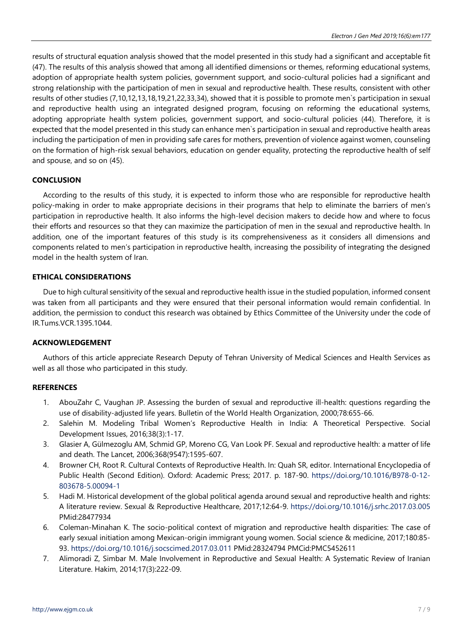results of structural equation analysis showed that the model presented in this study had a significant and acceptable fit (47). The results of this analysis showed that among all identified dimensions or themes, reforming educational systems, adoption of appropriate health system policies, government support, and socio-cultural policies had a significant and strong relationship with the participation of men in sexual and reproductive health. These results, consistent with other results of other studies (7,10,12,13,18,19,21,22,33,34), showed that it is possible to promote men`s participation in sexual and reproductive health using an integrated designed program, focusing on reforming the educational systems, adopting appropriate health system policies, government support, and socio-cultural policies (44). Therefore, it is expected that the model presented in this study can enhance men`s participation in sexual and reproductive health areas including the participation of men in providing safe cares for mothers, prevention of violence against women, counseling on the formation of high-risk sexual behaviors, education on gender equality, protecting the reproductive health of self and spouse, and so on (45).

# **CONCLUSION**

According to the results of this study, it is expected to inform those who are responsible for reproductive health policy-making in order to make appropriate decisions in their programs that help to eliminate the barriers of men's participation in reproductive health. It also informs the high-level decision makers to decide how and where to focus their efforts and resources so that they can maximize the participation of men in the sexual and reproductive health. In addition, one of the important features of this study is its comprehensiveness as it considers all dimensions and components related to men's participation in reproductive health, increasing the possibility of integrating the designed model in the health system of Iran.

#### **ETHICAL CONSIDERATIONS**

Due to high cultural sensitivity of the sexual and reproductive health issue in the studied population, informed consent was taken from all participants and they were ensured that their personal information would remain confidential. In addition, the permission to conduct this research was obtained by Ethics Committee of the University under the code of IR.Tums.VCR.1395.1044.

#### **ACKNOWLEDGEMENT**

Authors of this article appreciate Research Deputy of Tehran University of Medical Sciences and Health Services as well as all those who participated in this study.

#### **REFERENCES**

- 1. AbouZahr C, Vaughan JP. Assessing the burden of sexual and reproductive ill-health: questions regarding the use of disability-adjusted life years. Bulletin of the World Health Organization, 2000;78:655-66.
- 2. Salehin M. Modeling Tribal Women's Reproductive Health in India: A Theoretical Perspective. Social Development Issues, 2016;38(3):1-17.
- 3. Glasier A, Gülmezoglu AM, Schmid GP, Moreno CG, Van Look PF. Sexual and reproductive health: a matter of life and death. The Lancet, 2006;368(9547):1595-607.
- 4. Browner CH, Root R. Cultural Contexts of Reproductive Health. In: Quah SR, editor. International Encyclopedia of Public Health (Second Edition). Oxford: Academic Press; 2017. p. 187-90. [https://doi.org/10.1016/B978-0-12-](https://doi.org/10.1016/B978-0-12-803678-5.00094-1) [803678-5.00094-1](https://doi.org/10.1016/B978-0-12-803678-5.00094-1)
- 5. Hadi M. Historical development of the global political agenda around sexual and reproductive health and rights: A literature review. Sexual & Reproductive Healthcare, 2017;12:64-9. <https://doi.org/10.1016/j.srhc.2017.03.005> PMid:28477934
- 6. Coleman-Minahan K. The socio-political context of migration and reproductive health disparities: The case of early sexual initiation among Mexican-origin immigrant young women. Social science & medicine, 2017;180:85- 93. <https://doi.org/10.1016/j.socscimed.2017.03.011> PMid:28324794 PMCid:PMC5452611
- 7. Alimoradi Z, Simbar M. Male Involvement in Reproductive and Sexual Health: A Systematic Review of Iranian Literature. Hakim, 2014;17(3):222-09.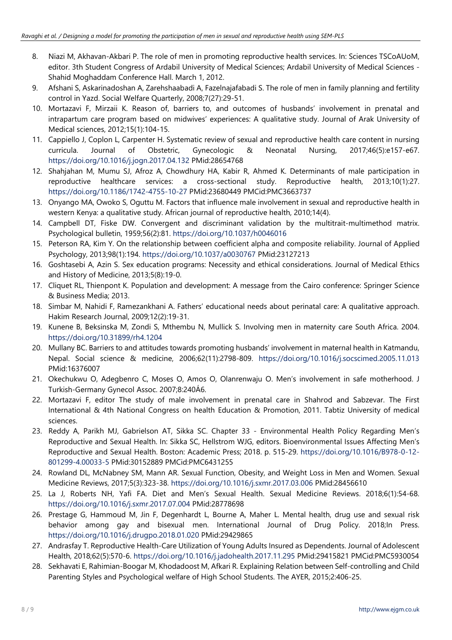- 8. Niazi M, Akhavan-Akbari P. The role of men in promoting reproductive health services. In: Sciences TSCoAUoM, editor. 3th Student Congress of Ardabil University of Medical Sciences; Ardabil University of Medical Sciences - Shahid Moghaddam Conference Hall. March 1, 2012.
- 9. Afshani S, Askarinadoshan A, Zarehshaabadi A, Fazelnajafabadi S. The role of men in family planning and fertility control in Yazd. Social Welfare Quarterly, 2008;7(27):29-51.
- 10. Mortazavi F, Mirzaii K. Reason of, barriers to, and outcomes of husbands' involvement in prenatal and intrapartum care program based on midwives' experiences: A qualitative study. Journal of Arak University of Medical sciences, 2012;15(1):104-15.
- 11. Cappiello J, Coplon L, Carpenter H. Systematic review of sexual and reproductive health care content in nursing curricula. Journal of Obstetric, Gynecologic & Neonatal Nursing, 2017;46(5):e157-e67. <https://doi.org/10.1016/j.jogn.2017.04.132> PMid:28654768
- 12. Shahjahan M, Mumu SJ, Afroz A, Chowdhury HA, Kabir R, Ahmed K. Determinants of male participation in reproductive healthcare services: a cross-sectional study. Reproductive health, 2013;10(1):27. <https://doi.org/10.1186/1742-4755-10-27> PMid:23680449 PMCid:PMC3663737
- 13. Onyango MA, Owoko S, Oguttu M. Factors that influence male involvement in sexual and reproductive health in western Kenya: a qualitative study. African journal of reproductive health, 2010;14(4).
- 14. Campbell DT, Fiske DW. Convergent and discriminant validation by the multitrait-multimethod matrix. Psychological bulletin, 1959;56(2):81. <https://doi.org/10.1037/h0046016>
- 15. Peterson RA, Kim Y. On the relationship between coefficient alpha and composite reliability. Journal of Applied Psychology, 2013;98(1):194. <https://doi.org/10.1037/a0030767> PMid:23127213
- 16. Goshtasebi A, Azin S. Sex education programs: Necessity and ethical considerations. Journal of Medical Ethics and History of Medicine, 2013;5(8):19-0.
- 17. Cliquet RL, Thienpont K. Population and development: A message from the Cairo conference: Springer Science & Business Media; 2013.
- 18. Simbar M, Nahidi F, Ramezankhani A. Fathers' educational needs about perinatal care: A qualitative approach. Hakim Research Journal, 2009;12(2):19-31.
- 19. Kunene B, Beksinska M, Zondi S, Mthembu N, Mullick S. Involving men in maternity care South Africa. 2004. <https://doi.org/10.31899/rh4.1204>
- 20. Mullany BC. Barriers to and attitudes towards promoting husbands' involvement in maternal health in Katmandu, Nepal. Social science & medicine, 2006;62(11):2798-809. <https://doi.org/10.1016/j.socscimed.2005.11.013> PMid:16376007
- 21. Okechukwu O, Adegbenro C, Moses O, Amos O, Olanrenwaju O. Men's involvement in safe motherhood. J Turkish-Germany Gynecol Assoc. 2007;8:240Á6.
- 22. Mortazavi F, editor The study of male involvement in prenatal care in Shahrod and Sabzevar. The First International & 4th National Congress on health Education & Promotion, 2011. Tabtiz University of medical sciences.
- 23. Reddy A, Parikh MJ, Gabrielson AT, Sikka SC. Chapter 33 Environmental Health Policy Regarding Men's Reproductive and Sexual Health. In: Sikka SC, Hellstrom WJG, editors. Bioenvironmental Issues Affecting Men's Reproductive and Sexual Health. Boston: Academic Press; 2018. p. 515-29. [https://doi.org/10.1016/B978-0-12-](https://doi.org/10.1016/B978-0-12-801299-4.00033-5) [801299-4.00033-5](https://doi.org/10.1016/B978-0-12-801299-4.00033-5) PMid:30152889 PMCid:PMC6431255
- 24. Rowland DL, McNabney SM, Mann AR. Sexual Function, Obesity, and Weight Loss in Men and Women. Sexual Medicine Reviews, 2017;5(3):323-38. <https://doi.org/10.1016/j.sxmr.2017.03.006> PMid:28456610
- 25. La J, Roberts NH, Yafi FA. Diet and Men's Sexual Health. Sexual Medicine Reviews. 2018;6(1):54-68. <https://doi.org/10.1016/j.sxmr.2017.07.004> PMid:28778698
- 26. Prestage G, Hammoud M, Jin F, Degenhardt L, Bourne A, Maher L. Mental health, drug use and sexual risk behavior among gay and bisexual men. International Journal of Drug Policy. 2018;In Press. <https://doi.org/10.1016/j.drugpo.2018.01.020> PMid:29429865
- 27. Andrasfay T. Reproductive Health-Care Utilization of Young Adults Insured as Dependents. Journal of Adolescent Health, 2018;62(5):570-6. <https://doi.org/10.1016/j.jadohealth.2017.11.295> PMid:29415821 PMCid:PMC5930054
- 28. Sekhavati E, Rahimian-Boogar M, Khodadoost M, Afkari R. Explaining Relation between Self-controlling and Child Parenting Styles and Psychological welfare of High School Students. The AYER, 2015;2:406-25.